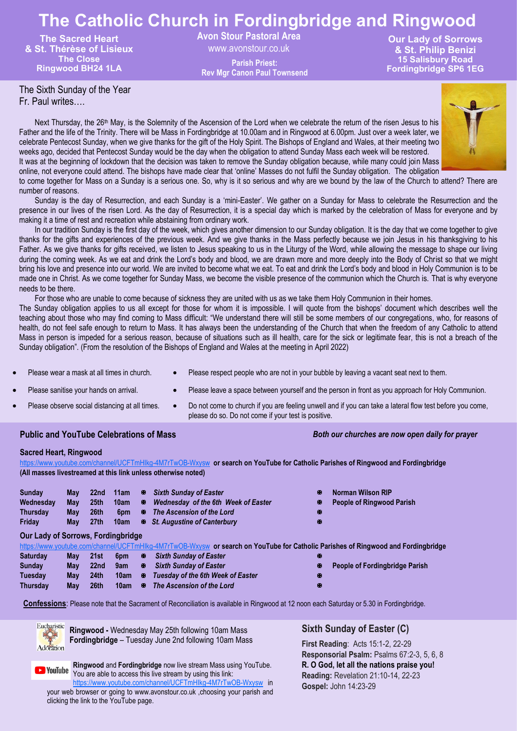# **The Catholic Church in Fordingbridge and Ringwood**

**The Sacred Heart & St. Thérèse of Lisieux The Close Ringwood BH24 1LA**

**Avon Stour Pastoral Area** 

www.avonstour.co.uk **Rev Mgr Canon Paul Townsend**

**Our Lady of Sorrows & St. Philip Benizi 15 Salisbury Road Fordingbridge SP6 1EG Parish Priest:**

# The Sixth Sunday of the Year

Fr. Paul writes….

Next Thursday, the 26<sup>th</sup> May, is the Solemnity of the Ascension of the Lord when we celebrate the return of the risen Jesus to his Father and the life of the Trinity. There will be Mass in Fordingbridge at 10.00am and in Ringwood at 6.00pm. Just over a week later, we celebrate Pentecost Sunday, when we give thanks for the gift of the Holy Spirit. The Bishops of England and Wales, at their meeting two weeks ago, decided that Pentecost Sunday would be the day when the obligation to attend Sunday Mass each week will be restored. It was at the beginning of lockdown that the decision was taken to remove the Sunday obligation because, while many could join Mass online, not everyone could attend. The bishops have made clear that 'online' Masses do not fulfil the Sunday obligation. The obligation to come together for Mass on a Sunday is a serious one. So, why is it so serious and why are we bound by the law of the Church to attend? There are

number of reasons. Sunday is the day of Resurrection, and each Sunday is a 'mini-Easter'. We gather on a Sunday for Mass to celebrate the Resurrection and the presence in our lives of the risen Lord. As the day of Resurrection, it is a special day which is marked by the celebration of Mass for everyone and by

making it a time of rest and recreation while abstaining from ordinary work. In our tradition Sunday is the first day of the week, which gives another dimension to our Sunday obligation. It is the day that we come together to give thanks for the gifts and experiences of the previous week. And we give thanks in the Mass perfectly because we join Jesus in his thanksgiving to his Father. As we give thanks for gifts received, we listen to Jesus speaking to us in the Liturgy of the Word, while allowing the message to shape our living during the coming week. As we eat and drink the Lord's body and blood, we are drawn more and more deeply into the Body of Christ so that we might bring his love and presence into our world. We are invited to become what we eat. To eat and drink the Lord's body and blood in Holy Communion is to be made one in Christ. As we come together for Sunday Mass, we become the visible presence of the communion which the Church is. That is why everyone

needs to be there. For those who are unable to come because of sickness they are united with us as we take them Holy Communion in their homes.

The Sunday obligation applies to us all except for those for whom it is impossible. I will quote from the bishops' document which describes well the teaching about those who may find coming to Mass difficult: "We understand there will still be some members of our congregations, who, for reasons of health, do not feel safe enough to return to Mass. It has always been the understanding of the Church that when the freedom of any Catholic to attend Mass in person is impeded for a serious reason, because of situations such as ill health, care for the sick or legitimate fear, this is not a breach of the Sunday obligation". (From the resolution of the Bishops of England and Wales at the meeting in April 2022)

- 
- Please wear a mask at all times in church. Please respect people who are not in your bubble by leaving a vacant seat next to them.
- Please sanitise your hands on arrival. Please leave a space between yourself and the person in front as you approach for Holy Communion.
- 
- Please observe social distancing at all times.  $\bullet$  Do not come to church if you are feeling unwell and if you can take a lateral flow test before you come, please do so. Do not come if your test is positive.

### **Public and YouTube Celebrations of Mass** *Both our churches are now open daily for prayer*

#### **Sacred Heart, Ringwood**

<https://www.youtube.com/channel/UCFTmHIkg-4M7rTwOB-Wxysw> **or search on YouTube for Catholic Parishes of Ringwood and Fordingbridge (All masses livestreamed at this link unless otherwise noted)**

| <b>Sunday</b><br>Wednesdav<br>Thursday | Mav<br>Mav<br>Mav | 22 <sub>nd</sub><br><b>25th</b><br>26th<br>27th | 11am<br>10am | <b>EX</b> | ® Sixth Sundav of Easter<br>Wednesday of the 6th Week of Easter<br>6pm B The Ascension of the Lord | W.<br>х<br>ĸ | Norman Wilson RIP<br><b>E</b> People of Ringwood Parish |
|----------------------------------------|-------------------|-------------------------------------------------|--------------|-----------|----------------------------------------------------------------------------------------------------|--------------|---------------------------------------------------------|
| Friday                                 | Mav               |                                                 | 10am         |           | <b>E</b> St. Augustine of Canterbury                                                               |              |                                                         |

### **Our Lady of Sorrows, Fordingbridge**

|  |  |  |  |  | https://www.youtube.com/channel/UCFTmHlkg-4M7rTwOB-Wxysw or search on YouTube for Catholic Parishes of Ringwood and Fordingbridge |  |  |  |  |
|--|--|--|--|--|-----------------------------------------------------------------------------------------------------------------------------------|--|--|--|--|
|  |  |  |  |  |                                                                                                                                   |  |  |  |  |

- **Saturday May 21st 6pm** *Sixth Sunday of Easter* **Sunday May 22nd 9am** *Sixth Sunday of Easter* **People of Fordingbridge Parish**
- **Tuesday May 24th 10am** *Tuesday of the 6th Week of Easter*
- **Thursday May 26th 10am** *The Ascension of the Lord*
- 
- **Confessions**: Please note that the Sacrament of Reconciliation is available in Ringwood at 12 noon each Saturday or 5.30 in Fordingbridge.



**Ringwood -** Wednesday May 25th following 10am Mass **Fordingbridge** – Tuesday June 2nd following 10am Mass

**Ringwood** and **Fordingbridge** now live stream Mass using YouTube. **D** YouTube You are able to access this live stream by using this link: <https://www.youtube.com/channel/UCFTmHIkg-4M7rTwOB-Wxysw> in

your web browser or going to www.avonstour.co.uk ,choosing your parish and clicking the link to the YouTube page.

# **Sixth Sunday of Easter (C)**

**First Reading**: Acts 15:1-2, 22-29 **Responsorial Psalm:** Psalms 67:2-3, 5, 6, 8 **R. O God, let all the nations praise you! Reading:** Revelation 21:10-14, 22-23 **Gospel:** John 14:23-29

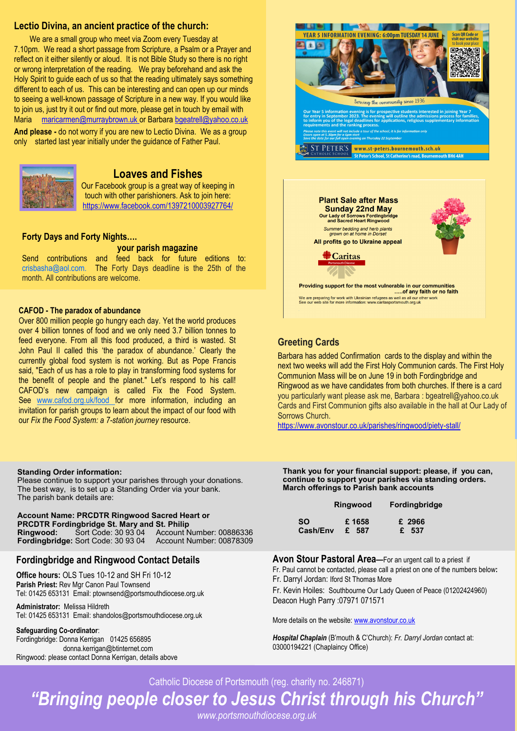## **Lectio Divina, an ancient practice of the church:**

**Palm Sunday (C)** We are a small group who meet via Zoom every Tuesday at **First Reading**: Isaiah 50:4-7 reflect on it either silently or aloud. It is not Bible Study so there is no right or wrong interpretation of the reading. We pray beforehand and ask the Holy Spirit to guide each of us so that the reading ultimately says something different to each of us. This can be interesting and can open up our minds to seeing a well-known passage of Scripture in a new way. If you would like 7.10pm. We read a short passage from Scripture, a Psalm or a Prayer and to join us, just try it out or find out more, please get in touch by email with Maria maricarmen@murraybrown.uk or Barbara bgeatrell@yahoo.co.uk

**And please -** do not worry if you are new to Lectio Divina. We as a group only started last year initially under the guidance of Father Paul.



# **Loaves and Fishes**

Our Facebook group is a great way of keeping in touch with other parishioners. Ask to join here: https://www.facebook.com/1397210003927764/

#### **Forty Days and Forty Nights….**

**your parish magazine** Send contributions and feed back for future editions to: crisbasha@aol.com. The Forty Days deadline is the 25th of the month. All contributions are welcome.

#### **CAFOD - The paradox of abundance**

Over 800 million people go hungry each day. Yet the world produces over 4 billion tonnes of food and we only need 3.7 billion tonnes to feed everyone. From all this food produced, a third is wasted. St John Paul II called this 'the paradox of abundance.' Clearly the currently global food system is not working. But as Pope Francis said, "Each of us has a role to play in transforming food systems for the benefit of people and the planet." Let's respond to his call! CAFOD's new campaign is called Fix the Food System. See www.cafod.org.uk/food for more information, including an invitation for parish groups to learn about the impact of our food with our *Fix the Food System: a 7-station journey* resource.

#### **Standing Order information:**

Please continue to support your parishes through your donations. The best way, is to set up a Standing Order via your bank. The parish bank details are:

**Account Name: PRCDTR Ringwood Sacred Heart or PRCDTR Fordingbridge St. Mary and St. Philip Ringwood:** Sort Code: 30 93 04 Account Number: 00886336 **Fordingbridge: Sort Code: 30 93 04** 

### **Fordingbridge and Ringwood Contact Details**

**Office hours:** OLS Tues 10-12 and SH Fri 10-12 **Parish Priest:** Rev Mgr Canon Paul Townsend Tel: 01425 653131 Email: ptownsend@portsmouthdiocese.org.uk

**Administrator:** Melissa Hildreth Tel: 01425 653131 Email: shandolos@portsmouthdiocese.org.uk

#### **Safeguarding Co-ordinator**:

Fordingbridge: Donna Kerrigan 01425 656895 donna.kerrigan@btinternet.com Ringwood: please contact Donna Kerrigan, details above





# **Greeting Cards**

Barbara has added Confirmation cards to the display and within the next two weeks will add the First Holy Communion cards. The First Holy Communion Mass will be on June 19 in both Fordingbridge and Ringwood as we have candidates from both churches. If there is a card you particularly want please ask me, Barbara : bgeatrell@yahoo.co.uk Cards and First Communion gifts also available in the hall at Our Lady of Sorrows Church.

https://www.avonstour.co.uk/parishes/ringwood/piety-stall/

**Thank you for your financial support: please, if you can, continue to support your parishes via standing orders. March offerings to Parish bank accounts**

|           | Ringwood | <b>Fordingbridge</b> |  |  |  |  |
|-----------|----------|----------------------|--|--|--|--|
| <b>SO</b> | £1658    | £ 2966               |  |  |  |  |
| Cash/Env  | £ 587    | £ 537                |  |  |  |  |

**Avon Stour Pastoral Area—**For an urgent call to a priest if Fr. Paul cannot be contacted, please call a priest on one of the numbers below**:** Fr. Darryl Jordan: Iford St Thomas More

Fr. Kevin Hoiles: Southbourne Our Lady Queen of Peace (01202424960) Deacon Hugh Parry :07971 071571

More details on the website: www.avonstour.co.uk

*Hospital Chaplain* (B'mouth & C'Church): *Fr. Darryl Jordan* contact at: 03000194221 (Chaplaincy Office)

Catholic Diocese of Portsmouth (reg. charity no. 246871)

*"Bringing people closer to Jesus Christ through his Church"*

*www.portsmouthdiocese.org.uk*